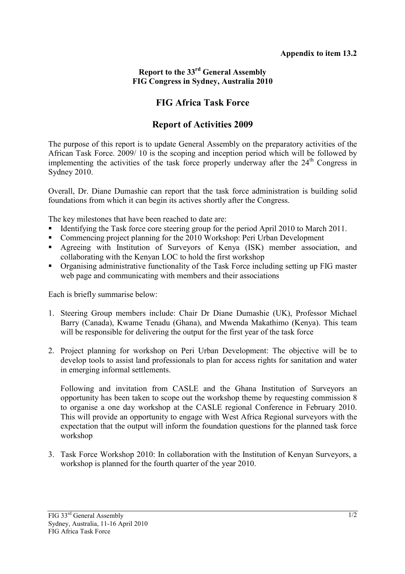## **Report to the 33rd General Assembly FIG Congress in Sydney, Australia 2010**

## **FIG Africa Task Force**

## **Report of Activities 2009**

The purpose of this report is to update General Assembly on the preparatory activities of the African Task Force. 2009/ 10 is the scoping and inception period which will be followed by implementing the activities of the task force properly underway after the  $24<sup>th</sup>$  Congress in Sydney 2010.

Overall, Dr. Diane Dumashie can report that the task force administration is building solid foundations from which it can begin its actives shortly after the Congress.

The key milestones that have been reached to date are:

- Identifying the Task force core steering group for the period April 2010 to March 2011.
- Commencing project planning for the 2010 Workshop: Peri Urban Development
- Agreeing with Institution of Surveyors of Kenya (ISK) member association, and collaborating with the Kenyan LOC to hold the first workshop
- Organising administrative functionality of the Task Force including setting up FIG master web page and communicating with members and their associations

Each is briefly summarise below:

- 1. Steering Group members include: Chair Dr Diane Dumashie (UK), Professor Michael Barry (Canada), Kwame Tenadu (Ghana), and Mwenda Makathimo (Kenya). This team will be responsible for delivering the output for the first year of the task force
- 2. Project planning for workshop on Peri Urban Development: The objective will be to develop tools to assist land professionals to plan for access rights for sanitation and water in emerging informal settlements.

Following and invitation from CASLE and the Ghana Institution of Surveyors an opportunity has been taken to scope out the workshop theme by requesting commission 8 to organise a one day workshop at the CASLE regional Conference in February 2010. This will provide an opportunity to engage with West Africa Regional surveyors with the expectation that the output will inform the foundation questions for the planned task force workshop

3. Task Force Workshop 2010: In collaboration with the Institution of Kenyan Surveyors, a workshop is planned for the fourth quarter of the year 2010.